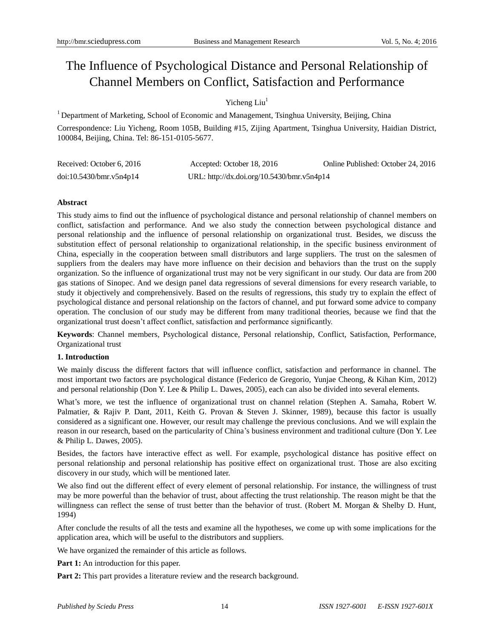# The Influence of Psychological Distance and Personal Relationship of Channel Members on Conflict, Satisfaction and Performance

## Yicheng Liu<sup>1</sup>

<sup>1</sup> Department of Marketing, School of Economic and Management, Tsinghua University, Beijing, China

Correspondence: Liu Yicheng, Room 105B, Building #15, Zijing Apartment, Tsinghua University, Haidian District, 100084, Beijing, China. Tel: 86-151-0105-5677.

| Received: October 6, 2016 | Accepted: October 18, 2016                 | Online Published: October 24, 2016 |
|---------------------------|--------------------------------------------|------------------------------------|
| doi:10.5430/bmr.v5n4p14   | URL: http://dx.doi.org/10.5430/bmr.v5n4p14 |                                    |

## **Abstract**

This study aims to find out the influence of psychological distance and personal relationship of channel members on conflict, satisfaction and performance. And we also study the connection between psychological distance and personal relationship and the influence of personal relationship on organizational trust. Besides, we discuss the substitution effect of personal relationship to organizational relationship, in the specific business environment of China, especially in the cooperation between small distributors and large suppliers. The trust on the salesmen of suppliers from the dealers may have more influence on their decision and behaviors than the trust on the supply organization. So the influence of organizational trust may not be very significant in our study. Our data are from 200 gas stations of Sinopec. And we design panel data regressions of several dimensions for every research variable, to study it objectively and comprehensively. Based on the results of regressions, this study try to explain the effect of psychological distance and personal relationship on the factors of channel, and put forward some advice to company operation. The conclusion of our study may be different from many traditional theories, because we find that the organizational trust doesn't affect conflict, satisfaction and performance significantly.

**Keywords**: Channel members, Psychological distance, Personal relationship, Conflict, Satisfaction, Performance, Organizational trust

## **1. Introduction**

We mainly discuss the different factors that will influence conflict, satisfaction and performance in channel. The most important two factors are psychological distance (Federico de Gregorio, Yunjae Cheong, & Kihan Kim, 2012) and personal relationship (Don Y. Lee & Philip L. Dawes, 2005), each can also be divided into several elements.

What's more, we test the influence of organizational trust on channel relation (Stephen A. Samaha, Robert W. Palmatier, & Rajiv P. Dant, 2011, Keith G. Provan & Steven J. Skinner, 1989), because this factor is usually considered as a significant one. However, our result may challenge the previous conclusions. And we will explain the reason in our research, based on the particularity of China's business environment and traditional culture (Don Y. Lee & Philip L. Dawes, 2005).

Besides, the factors have interactive effect as well. For example, psychological distance has positive effect on personal relationship and personal relationship has positive effect on organizational trust. Those are also exciting discovery in our study, which will be mentioned later.

We also find out the different effect of every element of personal relationship. For instance, the willingness of trust may be more powerful than the behavior of trust, about affecting the trust relationship. The reason might be that the willingness can reflect the sense of trust better than the behavior of trust. (Robert M. Morgan & Shelby D. Hunt, 1994)

After conclude the results of all the tests and examine all the hypotheses, we come up with some implications for the application area, which will be useful to the distributors and suppliers.

We have organized the remainder of this article as follows.

**Part 1:** An introduction for this paper.

**Part 2:** This part provides a literature review and the research background.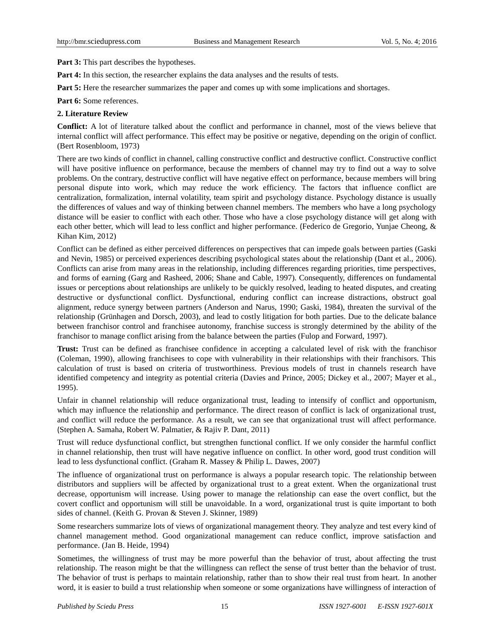**Part 3:** This part describes the hypotheses.

Part 4: In this section, the researcher explains the data analyses and the results of tests.

**Part 5:** Here the researcher summarizes the paper and comes up with some implications and shortages.

## Part 6: Some references.

## **2. Literature Review**

**Conflict:** A lot of literature talked about the conflict and performance in channel, most of the views believe that internal conflict will affect performance. This effect may be positive or negative, depending on the origin of conflict. (Bert Rosenbloom, 1973)

There are two kinds of conflict in channel, calling constructive conflict and destructive conflict. Constructive conflict will have positive influence on performance, because the members of channel may try to find out a way to solve problems. On the contrary, destructive conflict will have negative effect on performance, because members will bring personal dispute into work, which may reduce the work efficiency. The factors that influence conflict are centralization, formalization, internal volatility, team spirit and psychology distance. Psychology distance is usually the differences of values and way of thinking between channel members. The members who have a long psychology distance will be easier to conflict with each other. Those who have a close psychology distance will get along with each other better, which will lead to less conflict and higher performance. (Federico de Gregorio, Yunjae Cheong, & Kihan Kim, 2012)

Conflict can be defined as either perceived differences on perspectives that can impede goals between parties (Gaski and Nevin, 1985) or perceived experiences describing psychological states about the relationship (Dant et al., 2006). Conflicts can arise from many areas in the relationship, including differences regarding priorities, time perspectives, and forms of earning (Garg and Rasheed, 2006; Shane and Cable, 1997). Consequently, differences on fundamental issues or perceptions about relationships are unlikely to be quickly resolved, leading to heated disputes, and creating destructive or dysfunctional conflict. Dysfunctional, enduring conflict can increase distractions, obstruct goal alignment, reduce synergy between partners (Anderson and Narus, 1990; Gaski, 1984), threaten the survival of the relationship (Grünhagen and Dorsch, 2003), and lead to costly litigation for both parties. Due to the delicate balance between franchisor control and franchisee autonomy, franchise success is strongly determined by the ability of the franchisor to manage conflict arising from the balance between the parties (Fulop and Forward, 1997).

**Trust:** Trust can be defined as franchisee confidence in accepting a calculated level of risk with the franchisor (Coleman, 1990), allowing franchisees to cope with vulnerability in their relationships with their franchisors. This calculation of trust is based on criteria of trustworthiness. Previous models of trust in channels research have identified competency and integrity as potential criteria (Davies and Prince, 2005; Dickey et al., 2007; Mayer et al., 1995).

Unfair in channel relationship will reduce organizational trust, leading to intensify of conflict and opportunism, which may influence the relationship and performance. The direct reason of conflict is lack of organizational trust, and conflict will reduce the performance. As a result, we can see that organizational trust will affect performance. (Stephen A. Samaha, Robert W. Palmatier, & Rajiv P. Dant, 2011)

Trust will reduce dysfunctional conflict, but strengthen functional conflict. If we only consider the harmful conflict in channel relationship, then trust will have negative influence on conflict. In other word, good trust condition will lead to less dysfunctional conflict. (Graham R. Massey & Philip L. Dawes, 2007)

The influence of organizational trust on performance is always a popular research topic. The relationship between distributors and suppliers will be affected by organizational trust to a great extent. When the organizational trust decrease, opportunism will increase. Using power to manage the relationship can ease the overt conflict, but the covert conflict and opportunism will still be unavoidable. In a word, organizational trust is quite important to both sides of channel. (Keith G. Provan & Steven J. Skinner, 1989)

Some researchers summarize lots of views of organizational management theory. They analyze and test every kind of channel management method. Good organizational management can reduce conflict, improve satisfaction and performance. (Jan B. Heide, 1994)

Sometimes, the willingness of trust may be more powerful than the behavior of trust, about affecting the trust relationship. The reason might be that the willingness can reflect the sense of trust better than the behavior of trust. The behavior of trust is perhaps to maintain relationship, rather than to show their real trust from heart. In another word, it is easier to build a trust relationship when someone or some organizations have willingness of interaction of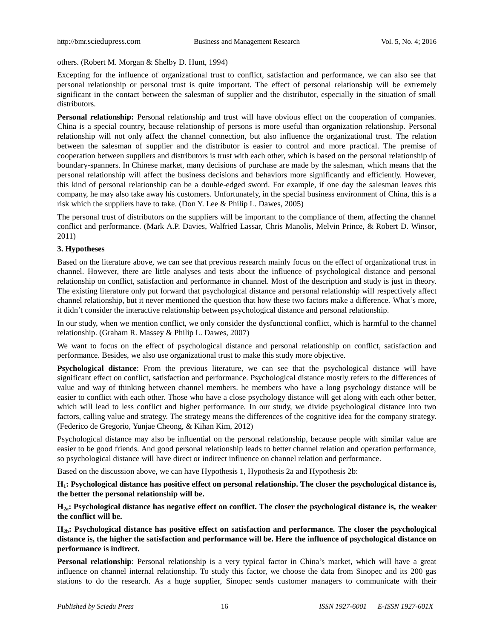others. (Robert M. Morgan & Shelby D. Hunt, 1994)

Excepting for the influence of organizational trust to conflict, satisfaction and performance, we can also see that personal relationship or personal trust is quite important. The effect of personal relationship will be extremely significant in the contact between the salesman of supplier and the distributor, especially in the situation of small distributors.

**Personal relationship:** Personal relationship and trust will have obvious effect on the cooperation of companies. China is a special country, because relationship of persons is more useful than organization relationship. Personal relationship will not only affect the channel connection, but also influence the organizational trust. The relation between the salesman of supplier and the distributor is easier to control and more practical. The premise of cooperation between suppliers and distributors is trust with each other, which is based on the personal relationship of boundary-spanners. In Chinese market, many decisions of purchase are made by the salesman, which means that the personal relationship will affect the business decisions and behaviors more significantly and efficiently. However, this kind of personal relationship can be a double-edged sword. For example, if one day the salesman leaves this company, he may also take away his customers. Unfortunately, in the special business environment of China, this is a risk which the suppliers have to take. (Don Y. Lee & Philip L. Dawes, 2005)

The personal trust of distributors on the suppliers will be important to the compliance of them, affecting the channel conflict and performance. (Mark A.P. Davies, Walfried Lassar, Chris Manolis, Melvin Prince, & Robert D. Winsor, 2011)

## **3. Hypotheses**

Based on the literature above, we can see that previous research mainly focus on the effect of organizational trust in channel. However, there are little analyses and tests about the influence of psychological distance and personal relationship on conflict, satisfaction and performance in channel. Most of the description and study is just in theory. The existing literature only put forward that psychological distance and personal relationship will respectively affect channel relationship, but it never mentioned the question that how these two factors make a difference. What's more, it didn't consider the interactive relationship between psychological distance and personal relationship.

In our study, when we mention conflict, we only consider the dysfunctional conflict, which is harmful to the channel relationship. (Graham R. Massey & Philip L. Dawes, 2007)

We want to focus on the effect of psychological distance and personal relationship on conflict, satisfaction and performance. Besides, we also use organizational trust to make this study more objective.

**Psychological distance**: From the previous literature, we can see that the psychological distance will have significant effect on conflict, satisfaction and performance. Psychological distance mostly refers to the differences of value and way of thinking between channel members. he members who have a long psychology distance will be easier to conflict with each other. Those who have a close psychology distance will get along with each other better, which will lead to less conflict and higher performance. In our study, we divide psychological distance into two factors, calling value and strategy. The strategy means the differences of the cognitive idea for the company strategy. (Federico de Gregorio, Yunjae Cheong, & Kihan Kim, 2012)

Psychological distance may also be influential on the personal relationship, because people with similar value are easier to be good friends. And good personal relationship leads to better channel relation and operation performance, so psychological distance will have direct or indirect influence on channel relation and performance.

Based on the discussion above, we can have Hypothesis 1, Hypothesis 2a and Hypothesis 2b:

**H1: Psychological distance has positive effect on personal relationship. The closer the psychological distance is, the better the personal relationship will be.**

**H2a: Psychological distance has negative effect on conflict. The closer the psychological distance is, the weaker the conflict will be.**

**H2b: Psychological distance has positive effect on satisfaction and performance. The closer the psychological distance is, the higher the satisfaction and performance will be. Here the influence of psychological distance on performance is indirect.**

**Personal relationship**: Personal relationship is a very typical factor in China's market, which will have a great influence on channel internal relationship. To study this factor, we choose the data from Sinopec and its 200 gas stations to do the research. As a huge supplier, Sinopec sends customer managers to communicate with their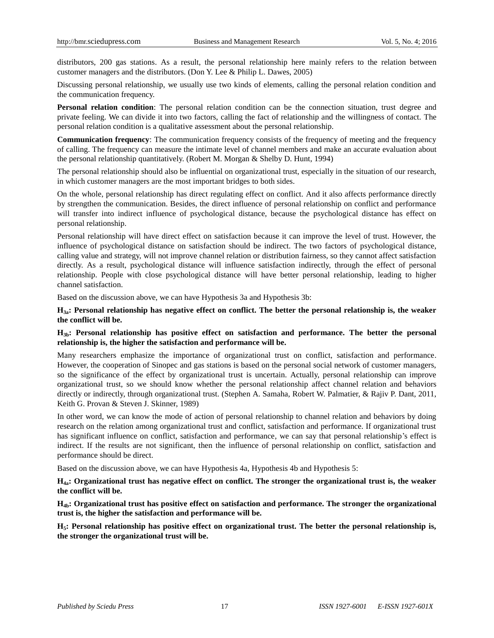distributors, 200 gas stations. As a result, the personal relationship here mainly refers to the relation between customer managers and the distributors. (Don Y. Lee & Philip L. Dawes, 2005)

Discussing personal relationship, we usually use two kinds of elements, calling the personal relation condition and the communication frequency.

**Personal relation condition**: The personal relation condition can be the connection situation, trust degree and private feeling. We can divide it into two factors, calling the fact of relationship and the willingness of contact. The personal relation condition is a qualitative assessment about the personal relationship.

**Communication frequency**: The communication frequency consists of the frequency of meeting and the frequency of calling. The frequency can measure the intimate level of channel members and make an accurate evaluation about the personal relationship quantitatively. (Robert M. Morgan & Shelby D. Hunt, 1994)

The personal relationship should also be influential on organizational trust, especially in the situation of our research, in which customer managers are the most important bridges to both sides.

On the whole, personal relationship has direct regulating effect on conflict. And it also affects performance directly by strengthen the communication. Besides, the direct influence of personal relationship on conflict and performance will transfer into indirect influence of psychological distance, because the psychological distance has effect on personal relationship.

Personal relationship will have direct effect on satisfaction because it can improve the level of trust. However, the influence of psychological distance on satisfaction should be indirect. The two factors of psychological distance, calling value and strategy, will not improve channel relation or distribution fairness, so they cannot affect satisfaction directly. As a result, psychological distance will influence satisfaction indirectly, through the effect of personal relationship. People with close psychological distance will have better personal relationship, leading to higher channel satisfaction.

Based on the discussion above, we can have Hypothesis 3a and Hypothesis 3b:

**H3a: Personal relationship has negative effect on conflict. The better the personal relationship is, the weaker the conflict will be.**

## **H3b: Personal relationship has positive effect on satisfaction and performance. The better the personal relationship is, the higher the satisfaction and performance will be.**

Many researchers emphasize the importance of organizational trust on conflict, satisfaction and performance. However, the cooperation of Sinopec and gas stations is based on the personal social network of customer managers, so the significance of the effect by organizational trust is uncertain. Actually, personal relationship can improve organizational trust, so we should know whether the personal relationship affect channel relation and behaviors directly or indirectly, through organizational trust. (Stephen A. Samaha, Robert W. Palmatier, & Rajiv P. Dant, 2011, Keith G. Provan & Steven J. Skinner, 1989)

In other word, we can know the mode of action of personal relationship to channel relation and behaviors by doing research on the relation among organizational trust and conflict, satisfaction and performance. If organizational trust has significant influence on conflict, satisfaction and performance, we can say that personal relationship's effect is indirect. If the results are not significant, then the influence of personal relationship on conflict, satisfaction and performance should be direct.

Based on the discussion above, we can have Hypothesis 4a, Hypothesis 4b and Hypothesis 5:

**H4a: Organizational trust has negative effect on conflict. The stronger the organizational trust is, the weaker the conflict will be.**

**H4b: Organizational trust has positive effect on satisfaction and performance. The stronger the organizational trust is, the higher the satisfaction and performance will be.**

**H5: Personal relationship has positive effect on organizational trust. The better the personal relationship is, the stronger the organizational trust will be.**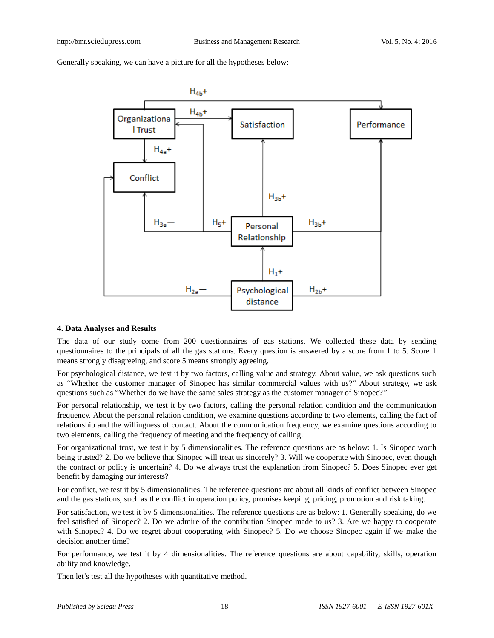Generally speaking, we can have a picture for all the hypotheses below:



#### **4. Data Analyses and Results**

The data of our study come from 200 questionnaires of gas stations. We collected these data by sending questionnaires to the principals of all the gas stations. Every question is answered by a score from 1 to 5. Score 1 means strongly disagreeing, and score 5 means strongly agreeing.

For psychological distance, we test it by two factors, calling value and strategy. About value, we ask questions such as "Whether the customer manager of Sinopec has similar commercial values with us?" About strategy, we ask questions such as "Whether do we have the same sales strategy as the customer manager of Sinopec?"

For personal relationship, we test it by two factors, calling the personal relation condition and the communication frequency. About the personal relation condition, we examine questions according to two elements, calling the fact of relationship and the willingness of contact. About the communication frequency, we examine questions according to two elements, calling the frequency of meeting and the frequency of calling.

For organizational trust, we test it by 5 dimensionalities. The reference questions are as below: 1. Is Sinopec worth being trusted? 2. Do we believe that Sinopec will treat us sincerely? 3. Will we cooperate with Sinopec, even though the contract or policy is uncertain? 4. Do we always trust the explanation from Sinopec? 5. Does Sinopec ever get benefit by damaging our interests?

For conflict, we test it by 5 dimensionalities. The reference questions are about all kinds of conflict between Sinopec and the gas stations, such as the conflict in operation policy, promises keeping, pricing, promotion and risk taking.

For satisfaction, we test it by 5 dimensionalities. The reference questions are as below: 1. Generally speaking, do we feel satisfied of Sinopec? 2. Do we admire of the contribution Sinopec made to us? 3. Are we happy to cooperate with Sinopec? 4. Do we regret about cooperating with Sinopec? 5. Do we choose Sinopec again if we make the decision another time?

For performance, we test it by 4 dimensionalities. The reference questions are about capability, skills, operation ability and knowledge.

Then let's test all the hypotheses with quantitative method.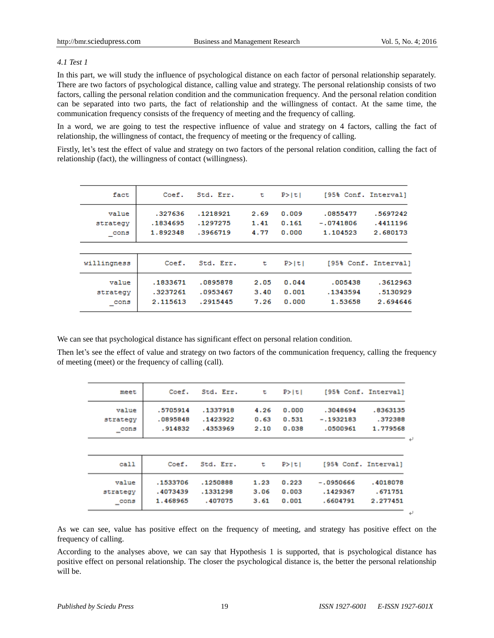## *4.1 Test 1*

In this part, we will study the influence of psychological distance on each factor of personal relationship separately. There are two factors of psychological distance, calling value and strategy. The personal relationship consists of two factors, calling the personal relation condition and the communication frequency. And the personal relation condition can be separated into two parts, the fact of relationship and the willingness of contact. At the same time, the communication frequency consists of the frequency of meeting and the frequency of calling.

In a word, we are going to test the respective influence of value and strategy on 4 factors, calling the fact of relationship, the willingness of contact, the frequency of meeting or the frequency of calling.

Firstly, let's test the effect of value and strategy on two factors of the personal relation condition, calling the fact of relationship (fact), the willingness of contact (willingness).

| fact              | Coef.               | Std. Err.            | t            | P >  t         | [95% Conf. Interval]    |                      |
|-------------------|---------------------|----------------------|--------------|----------------|-------------------------|----------------------|
| value<br>strategy | .327636<br>.1834695 | .1218921<br>.1297275 | 2.69<br>1.41 | 0.009<br>0.161 | .0855477<br>$-.0741806$ | .5697242<br>.4411196 |
| cons              | 1.892348            | .3966719             | 4.77         | 0.000          | 1.104523                | 2.680173             |
|                   |                     |                      |              |                |                         |                      |
| willingness       | Coef.               | Std. Err.            | τ            | P >  t         |                         | [95% Conf. Interval] |
| value             | .1833671            | .0895878             | 2.05         | 0.044          | .005438                 | .3612963             |
| strategy          | .3237261            | .0953467             | 3.40         | 0.001          | .1343594                | .5130929             |
| cons              | 2.115613            | .2915445             | 7.26         | 0.000          | 1.53658                 | 2.694646             |

We can see that psychological distance has significant effect on personal relation condition.

Then let's see the effect of value and strategy on two factors of the communication frequency, calling the frequency of meeting (meet) or the frequency of calling (call).

| meet     | Coef.    | Std. Err. | t    | P >  t | [95% Conf. Interval] |          |
|----------|----------|-----------|------|--------|----------------------|----------|
| value    | .5705914 | .1337918  | 4.26 | 0.000  | .3048694             | .8363135 |
| strategy | .0895848 | .1423922  | 0.63 | 0.531  | $-.1932183$          | .372388  |
| cons     | .914832  | .4353969  | 2.10 | 0.038  | .0500961             | 1.779568 |
|          |          |           |      |        |                      |          |
| call     | Coef.    | Std. Err. | τ    | P >  t | [95% Conf. Interval] |          |
|          |          |           |      |        |                      |          |
| value    | .1533706 | .1250888  | 1.23 | 0.223  | $-.0950666$          | .4018078 |
| strategy | .4073439 | .1331298  | 3.06 | 0.003  | .1429367             | .671751  |

As we can see, value has positive effect on the frequency of meeting, and strategy has positive effect on the frequency of calling.

According to the analyses above, we can say that Hypothesis 1 is supported, that is psychological distance has positive effect on personal relationship. The closer the psychological distance is, the better the personal relationship will be.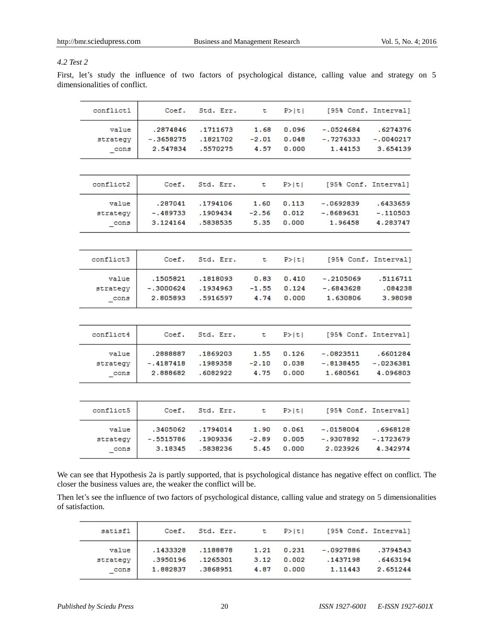## *4.2 Test 2*

First, let's study the influence of two factors of psychological distance, calling value and strategy on 5 dimensionalities of conflict.

| conflict1 | Coef.       | Std. Err. | t       | P >  t | [95% Conf. Interval] |             |
|-----------|-------------|-----------|---------|--------|----------------------|-------------|
| value     | .2874846    | .1711673  | 1.68    | 0.096  | $-.0524684$          | .6274376    |
| strategy  | $-.3658275$ | .1821702  | $-2.01$ | 0.048  | $-.7276333$          | $-.0040217$ |
| cons      | 2.547834    | .5570275  | 4.57    | 0.000  | 1.44153              | 3.654139    |
|           |             |           |         |        |                      |             |
| conflict2 | Coef.       | Std. Err. | t       | P >  t | [95% Conf. Interval] |             |
| value     | .287041     | .1794106  | 1.60    | 0.113  | $-.0692839$          | .6433659    |
| strategy  | $-.489733$  | .1909434  | $-2.56$ | 0.012  | $-.8689631$          | $-.110503$  |
| cons      | 3.124164    | .5838535  | 5.35    | 0.000  | 1.96458              | 4.283747    |
|           |             |           |         |        |                      |             |
| conflict3 | Coef.       | Std. Err. | t       | P >  t | [95% Conf. Interval] |             |
| value     | .1505821    | .1818093  | 0.83    | 0.410  | $-.2105069$          | .5116711    |
| strategy  | $-.3000624$ | .1934963  | $-1.55$ | 0.124  | $-.6843628$          | .084238     |
| cons      | 2.805893    | .5916597  | 4.74    | 0.000  | 1.630806             | 3.98098     |
|           |             |           |         |        |                      |             |
| conflict4 | Coef.       | Std. Err. | t       | P >  t | [95% Conf. Interval] |             |
| value     | .2888887    | .1869203  | 1.55    | 0.126  | $-.0823511$          | .6601284    |
| strategy  | $-.4187418$ | .1989358  | $-2.10$ | 0.038  | $-.8138455$          | $-.0236381$ |
| cons      | 2.888682    | .6082922  | 4.75    | 0.000  | 1.680561             | 4.096803    |
|           |             |           |         |        |                      |             |
| conflict5 | Coef.       | Std. Err. | t       | P >  t | [95% Conf. Interval] |             |
| value     | .3405062    | .1794014  | 1.90    | 0.061  | $-.0158004$          | .6968128    |
| strategy  | $-.5515786$ | .1909336  | $-2.89$ | 0.005  | $-.9307892$          | $-.1723679$ |
| cons      | 3.18345     | .5838236  | 5.45    | 0.000  | 2.023926             | 4.342974    |

We can see that Hypothesis 2a is partly supported, that is psychological distance has negative effect on conflict. The closer the business values are, the weaker the conflict will be.

Then let's see the influence of two factors of psychological distance, calling value and strategy on 5 dimensionalities of satisfaction.

| satisf1  | Coef.    | Std. Err. t P>ItI |      |       |             | [95% Conf. Interval] |
|----------|----------|-------------------|------|-------|-------------|----------------------|
| value    | .1433328 | .1188878          | 1.21 | 0.231 | $-.0927886$ | .3794543             |
| strategy | .3950196 | .1265301          | 3.12 | 0.002 | .1437198    | .6463194             |
| cons     | 1.882837 | .3868951          | 4.87 | 0.000 | 1.11443     | 2.651244             |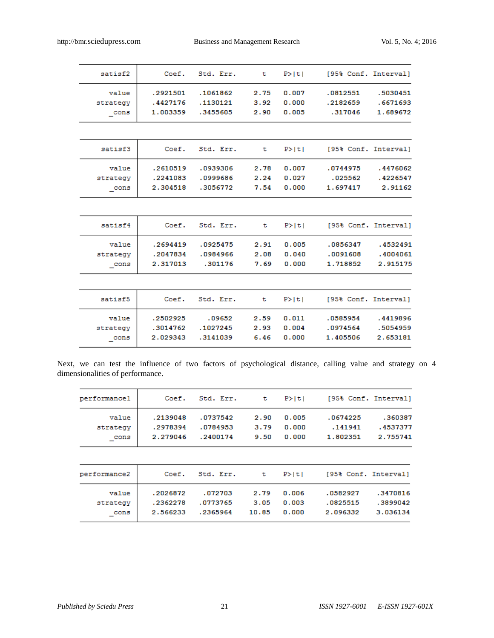| satisf2  | Coef.    | Std. Err. | τ    | P >  t | [95% Conf. Interval] |          |
|----------|----------|-----------|------|--------|----------------------|----------|
| value    | .2921501 | .1061862  | 2.75 | 0.007  | .0812551             | .5030451 |
| strategy | .4427176 | .1130121  | 3.92 | 0.000  | .2182659             | .6671693 |
| cons     | 1.003359 | .3455605  | 2.90 | 0.005  | .317046              | 1.689672 |
|          |          |           |      |        |                      |          |
| satisf3  | Coef.    | Std. Err. | τ    | P >  t | [95% Conf. Interval] |          |
| value    | .2610519 | .0939306  | 2.78 | 0.007  | .0744975             | .4476062 |
| strategy | .2241083 | .0999686  | 2.24 | 0.027  | .025562              | .4226547 |
| cons     | 2.304518 | .3056772  | 7.54 | 0.000  | 1.697417             | 2.91162  |
|          |          |           |      |        |                      |          |
| satisf4  | Coef.    | Std. Err. | τ    | P >  t | [95% Conf. Interval] |          |
| value    | .2694419 | .0925475  | 2.91 | 0.005  | .0856347             | .4532491 |
| strategy | .2047834 | .0984966  | 2.08 | 0.040  | .0091608             | .4004061 |
| cons     | 2.317013 | .301176   | 7.69 | 0.000  | 1.718852             | 2.915175 |
|          |          |           |      |        |                      |          |
| satisf5  | Coef.    | Std. Err. | τ    | P >  t | [95% Conf. Interval] |          |
| value    | .2502925 | .09652    | 2.59 | 0.011  | .0585954             | .4419896 |
| strategy | .3014762 | .1027245  | 2.93 | 0.004  | .0974564             | .5054959 |
| cons     | 2.029343 | .3141039  | 6.46 | 0.000  | 1.405506             | 2.653181 |

Next, we can test the influence of two factors of psychological distance, calling value and strategy on 4 dimensionalities of performance.

| performance1 | Coef.    | Std. Err. | τ     | P >  t | [95% Conf. Interval] |          |
|--------------|----------|-----------|-------|--------|----------------------|----------|
| value        | .2139048 | .0737542  | 2.90  | 0.005  | .0674225             | .360387  |
| strategy     | .2978394 | .0784953  | 3.79  | 0.000  | .141941              | .4537377 |
| cons         | 2.279046 | .2400174  | 9.50  | 0.000  | 1.802351             | 2.755741 |
| performance2 | Coef.    | Std. Err. | t     | P >  t | [95% Conf. Interval] |          |
| value        | .2026872 | .072703   | 2.79  | 0.006  | .0582927             | .3470816 |
| strategy     | .2362278 | .0773765  | 3.05  | 0.003  | .0825515             | .3899042 |
| cons         | 2.566233 | .2365964  | 10.85 | 0.000  | 2.096332             | 3.036134 |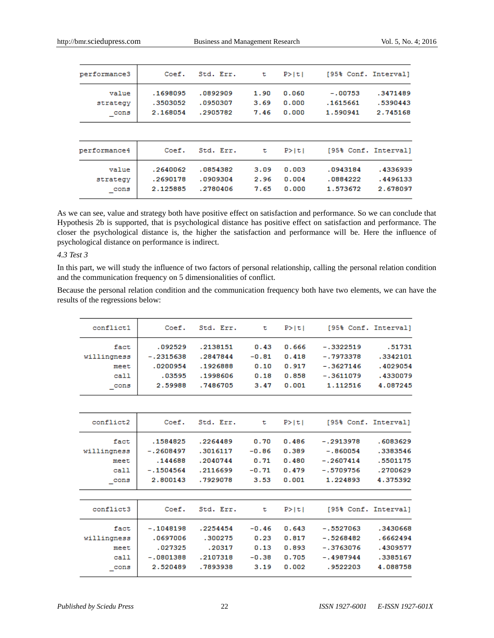| performance3      | Coef.                | Std. Err.            | τ            | P >  t         | [95% Conf. Interval]  |                      |
|-------------------|----------------------|----------------------|--------------|----------------|-----------------------|----------------------|
| value<br>strategy | .1698095<br>.3503052 | .0892909<br>.0950307 | 1.90<br>3.69 | 0.060<br>0.000 | $-.00753$<br>.1615661 | .3471489<br>.5390443 |
| cons              | 2.168054             | .2905782             | 7.46         | 0.000          | 1.590941              | 2.745168             |
|                   |                      |                      |              |                |                       |                      |
| performance4      | Coef.                | Std. Err.            | t            | P >  t         | [95% Conf. Interval]  |                      |
| value<br>strategy | .2640062<br>.2690178 | .0854382<br>.0909304 | 3.09<br>2.96 | 0.003<br>0.004 | .0943184<br>.0884222  | .4336939<br>.4496133 |
| cons              | 2.125885             | .2780406             | 7.65         | 0.000          | 1.573672              | 2.678097             |

As we can see, value and strategy both have positive effect on satisfaction and performance. So we can conclude that Hypothesis 2b is supported, that is psychological distance has positive effect on satisfaction and performance. The closer the psychological distance is, the higher the satisfaction and performance will be. Here the influence of psychological distance on performance is indirect.

#### *4.3 Test 3*

In this part, we will study the influence of two factors of personal relationship, calling the personal relation condition and the communication frequency on 5 dimensionalities of conflict.

Because the personal relation condition and the communication frequency both have two elements, we can have the results of the regressions below:

| conflict1        | Coef.       | Std. Err. | t       | P >  t | [95% Conf. Interval] |          |
|------------------|-------------|-----------|---------|--------|----------------------|----------|
| fact             | .092529     | .2138151  | 0.43    | 0.666  | $-.3322519$          | .51731   |
| willingness      | $-.2315638$ | .2847844  | $-0.81$ | 0.418  | $-.7973378$          | .3342101 |
| meet             | .0200954    | .1926888  | 0.10    | 0.917  | $-.3627146$          | .4029054 |
| call             | .03595      | .1998606  | 0.18    | 0.858  | $-.3611079$          | .4330079 |
| $_{\text{cons}}$ | 2.59988     | .7486705  | 3.47    | 0.001  | 1.112516             | 4.087245 |
|                  |             |           |         |        |                      |          |
| conflict2        | Coef.       | Std. Err. | τ       | P >  t | [95% Conf. Interval] |          |
| fact             | .1584825    | .2264489  | 0.70    | 0.486  | $-.2913978$          | .6083629 |
| willingness      | $-.2608497$ | .3016117  | $-0.86$ | 0.389  | $-.860054$           | .3383546 |
| meet             | .144688     | .2040744  | 0.71    | 0.480  | $-.2607414$          | .5501175 |
| call             | $-.1504564$ | .2116699  | $-0.71$ | 0.479  | $-.5709756$          | .2700629 |
| $_{\rm -}$ cons  | 2.800143    | .7929078  | 3.53    | 0.001  | 1.224893             | 4.375392 |
|                  |             |           |         |        |                      |          |
| conflict3        | Coef.       | Std. Err. | t       | P >  t | [95% Conf. Interval] |          |
| fact             | $-.1048198$ | .2254454  | $-0.46$ | 0.643  | $-.5527063$          | .3430668 |
| willingness      | .0697006    | .300275   | 0.23    | 0.817  | $-.5268482$          | .6662494 |
| meet             | .027325     | .20317    | 0.13    | 0.893  | $-.3763076$          | .4309577 |
| call             | $-.0801388$ | .2107318  | $-0.38$ | 0.705  | $-.4987944$          | .3385167 |
| $_{\text{cons}}$ | 2.520489    | .7893938  | 3.19    | 0.002  | .9522203             | 4.088758 |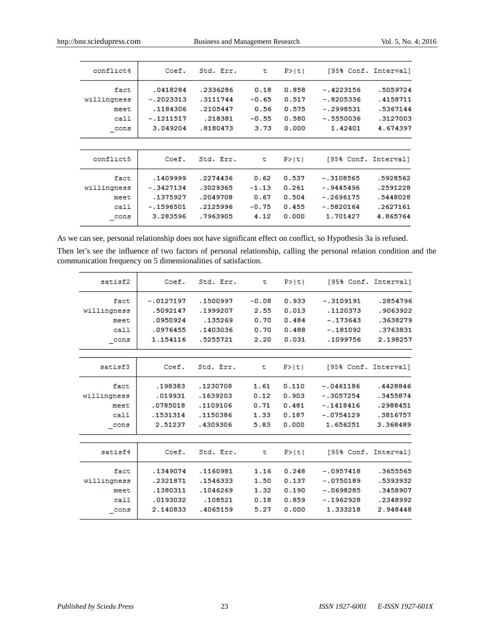| conflict4        | Coef.       | Std. Err. | τ       | P >  t | [95% Conf. Interval] |          |
|------------------|-------------|-----------|---------|--------|----------------------|----------|
| fact             | .0418284    | .2336286  | 0.18    | 0.858  | $-.4223156$          | .5059724 |
| willingness      | $-.2023313$ | .3111744  | $-0.65$ | 0.517  | $-.8205336$          | .4158711 |
| meet             | .1184306    | .2105447  | 0.56    | 0.575  | $-.2998531$          | .5367144 |
| call             | $-.1211517$ | .218381   | $-0.55$ | 0.580  | $-.5550036$          | .3127003 |
| $_{\text{cons}}$ | 3.049204    | .8180473  | 3.73    | 0.000  | 1.42401              | 4.674397 |
|                  |             |           |         |        |                      |          |
| conflict5        | Coef.       | Std. Err. | t       | P >  t | [95% Conf. Interval] |          |
| fact             | .1409999    | .2274436  | 0.62    | 0.537  | $-.3108565$          | .5928562 |
| willingness      | $-.3427134$ | .3029365  | $-1.13$ | 0.261  | $-.9445496$          | .2591228 |
| meet             | .1375927    | .2049708  | 0.67    | 0.504  | $-.2696175$          | .5448028 |
| call             | $-.1596501$ | .2125996  | $-0.75$ | 0.455  | $-.5820164$          | .2627161 |
| cons             | 3.283596    | .7963905  | 4.12    | 0.000  | 1.701427             | 4.865764 |
|                  |             |           |         |        |                      |          |

As we can see, personal relationship does not have significant effect on conflict, so Hypothesis 3a is refused.

Then let's see the influence of two factors of personal relationship, calling the personal relation condition and the communication frequency on 5 dimensionalities of satisfaction.

| satisf2          | Coef.       | Std. Err. | t.      | P >  t | [95% Conf. Interval] |          |
|------------------|-------------|-----------|---------|--------|----------------------|----------|
| fact             | $-.0127197$ | .1500997  | $-0.08$ | 0.933  | $-.3109191$          | .2854796 |
| willingness      | .5092147    | .1999207  | 2.55    | 0.013  | .1120373             | .9063922 |
| meet             | .0950924    | .135269   | 0.70    | 0.484  | $-.173643$           | .3638279 |
| call             | .0976455    | .1403036  | 0.70    | 0.488  | $-.181092$           | .3763831 |
| $_{\text{cons}}$ | 1.154116    | .5255721  | 2.20    | 0.031  | .1099756             | 2.198257 |
|                  |             |           |         |        |                      |          |
| satisf3          | Coef.       | Std. Err. | τ       | P >  t | [95% Conf. Interval] |          |
| fact             | .198383     | .1230708  | 1.61    | 0.110  | $-.0461186$          | .4428846 |
| willingness      | .019931     | .1639203  | 0.12    | 0.903  | $-.3057254$          | .3455874 |
| meet             | .0785018    | .1109106  | 0.71    | 0.481  | $-.1418416$          | .2988451 |
| call             | .1531314    | .1150386  | 1.33    | 0.187  | $-.0754129$          | .3816757 |
| $_{\text{cons}}$ | 2.51237     | .4309306  | 5.83    | 0.000  | 1.656251             | 3.368489 |
|                  |             |           |         |        |                      |          |
| satisf4          | Coef.       | Std. Err. | t       | P >  t | [95% Conf. Interval] |          |
| fact             | .1349074    | .1160981  | 1.16    | 0.248  | $-.0957418$          | .3655565 |
| willingness      | .2321871    | .1546333  | 1.50    | 0.137  | $-.0750189$          | .5393932 |
| meet             | .1380311    | .1046269  | 1.32    | 0.190  | $-.0698285$          | .3458907 |
| ca11             | .0193032    | .108521   | 0.18    | 0.859  | $-.1962928$          | .2348992 |
| $_{\text{cons}}$ | 2.140833    | .4065159  | 5.27    | 0.000  | 1.333218             | 2.948448 |
|                  |             |           |         |        |                      |          |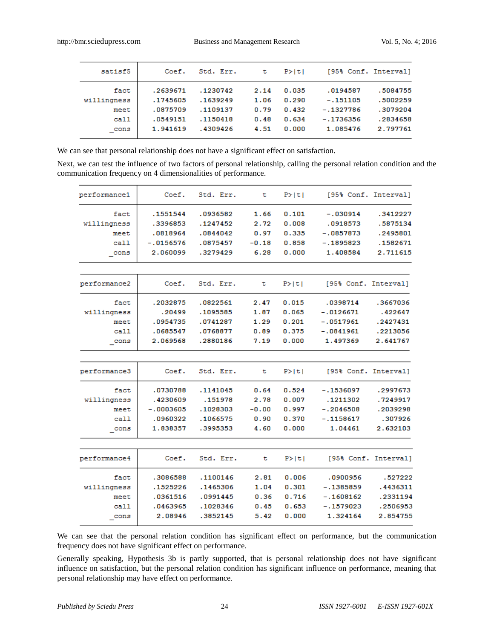| satisf5     | Coef.    | Std. Err. | t.   | P >  t |             | [95% Conf. Interval] |
|-------------|----------|-----------|------|--------|-------------|----------------------|
| fact        | .2639671 | .1230742  | 2.14 | 0.035  | .0194587    | .5084755             |
| willingness | .1745605 | .1639249  | 1.06 | 0.290  | $-.151105$  | .5002259             |
| meet        | .0875709 | .1109137  | 0.79 | 0.432  | $-.1327786$ | .3079204             |
| call        | .0549151 | .1150418  | 0.48 | 0.634  | $-.1736356$ | .2834658             |
| cons        | 1.941619 | .4309426  | 4.51 | 0.000  | 1.085476    | 2.797761             |

We can see that personal relationship does not have a significant effect on satisfaction.

Next, we can test the influence of two factors of personal relationship, calling the personal relation condition and the communication frequency on 4 dimensionalities of performance.

| performance1     | Coef.       | Std. Err. | t       | P >  t | [95% Conf. Interval] |          |
|------------------|-------------|-----------|---------|--------|----------------------|----------|
| fact             | .1551544    | .0936582  | 1.66    | 0.101  | $-.030914$           | .3412227 |
| willingness      | .3396853    | .1247452  | 2.72    | 0.008  | .0918573             | .5875134 |
| meet             | .0818964    | .0844042  | 0.97    | 0.335  | $-.0857873$          | .2495801 |
| ca11             | $-.0156576$ | .0875457  | $-0.18$ | 0.858  | $-.1895823$          | .1582671 |
| cons             | 2.060099    | .3279429  | 6.28    | 0.000  | 1.408584             | 2.711615 |
|                  |             |           |         |        |                      |          |
| performance2     | Coef.       | Std. Err. | t       | P >  t | [95% Conf. Interval] |          |
| fact             | .2032875    | .0822561  | 2.47    | 0.015  | .0398714             | .3667036 |
| willingness      | .20499      | .1095585  | 1.87    | 0.065  | $-.0126671$          | .422647  |
| meet             | .0954735    | .0741287  | 1.29    | 0.201  | $-.0517961$          | .2427431 |
| call             | .0685547    | .0768877  | 0.89    | 0.375  | $-.0841961$          | .2213056 |
| $_{\text{cons}}$ | 2.069568    | .2880186  | 7.19    | 0.000  | 1.497369             | 2.641767 |
| performance3     | Coef.       | Std. Err. | t       | P >  t | [95% Conf. Interval] |          |
| fact             | .0730788    | .1141045  | 0.64    | 0.524  | $-.1536097$          | .2997673 |
| willingness      | .4230609    | .151978   | 2.78    | 0.007  | .1211302             | .7249917 |
| meet             | $-.0003605$ | .1028303  | $-0.00$ | 0.997  | $-.2046508$          | .2039298 |
| call             | .0960322    | .1066575  | 0.90    | 0.370  | $-.1158617$          | .307926  |
| $_{\text{cons}}$ | 1.838357    | .3995353  | 4.60    | 0.000  | 1.04461              | 2.632103 |
|                  |             |           |         |        |                      |          |
| performance4     | Coef.       | Std. Err. | t       | P >  t | [95% Conf. Interval] |          |
| fact             | .3086588    | .1100146  | 2.81    | 0.006  | .0900956             | .527222  |
| willingness      | .1525226    | .1465306  | 1.04    | 0.301  | $-.1385859$          | .4436311 |
| meet             | .0361516    | .0991445  | 0.36    | 0.716  | $-.1608162$          | .2331194 |
| ca11             | .0463965    | .1028346  | 0.45    | 0.653  | $-.1579023$          | .2506953 |
| cons             | 2.08946     | .3852145  | 5.42    | 0.000  | 1.324164             | 2.854755 |

We can see that the personal relation condition has significant effect on performance, but the communication frequency does not have significant effect on performance.

Generally speaking, Hypothesis 3b is partly supported, that is personal relationship does not have significant influence on satisfaction, but the personal relation condition has significant influence on performance, meaning that personal relationship may have effect on performance.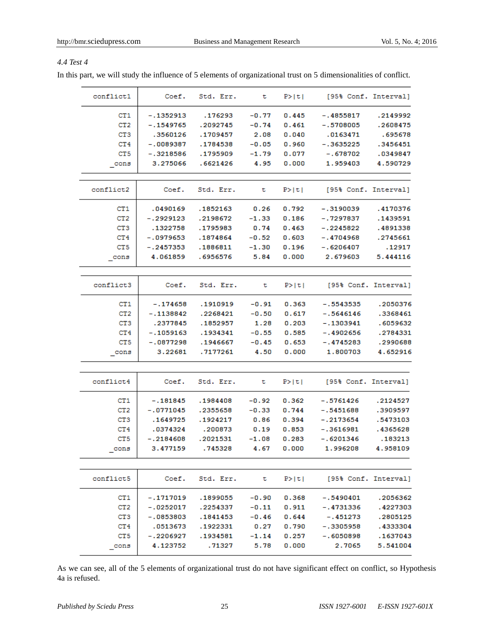## *4.4 Test 4*

In this part, we will study the influence of 5 elements of organizational trust on 5 dimensionalities of conflict.

| conflict1        | Coef.       | Std. Err. | τ       | P >  t | [95% Conf. Interval] |                      |
|------------------|-------------|-----------|---------|--------|----------------------|----------------------|
| CT <sub>1</sub>  | $-.1352913$ | .176293   | $-0.77$ | 0.445  | $-.4855817$          | .2149992             |
| CT <sub>2</sub>  | $-.1549765$ | .2092745  | $-0.74$ | 0.461  | $-.5708005$          | .2608475             |
| CT <sub>3</sub>  | .3560126    | .1709457  | 2.08    | 0.040  | .0163471             | .695678              |
| CT <sub>4</sub>  | $-0089387$  | .1784538  | $-0.05$ | 0.960  | $-.3635225$          | .3456451             |
| CT <sub>5</sub>  | -.3218586   | .1795909  | $-1.79$ | 0.077  | $-.678702$           | .0349847             |
| $_{\text{cons}}$ | 3.275066    | .6621426  | 4.95    | 0.000  | 1.959403             | 4.590729             |
|                  |             |           |         |        |                      |                      |
| conflict2        | Coef.       | Std. Err. | τ       | P >  t | [95% Conf. Interval] |                      |
| CT <sub>1</sub>  | .0490169    | .1852163  | 0.26    | 0.792  | $-.3190039$          | .4170376             |
| CT2              | -.2929123   | .2198672  | $-1.33$ | 0.186  | -.7297837            | .1439591             |
| CT <sub>3</sub>  | .1322758    | .1795983  | 0.74    | 0.463  | -.2245822            | .4891338             |
| CT <sub>4</sub>  | -.0979653   | .1874864  | $-0.52$ | 0.603  | -.4704968            | .2745661             |
| CT <sub>5</sub>  | -.2457353   | .1886811  | $-1.30$ | 0.196  | -.6206407            | .12917               |
| cons             | 4.061859    | .6956576  | 5.84    | 0.000  | 2.679603             | 5.444116             |
|                  |             |           |         |        |                      |                      |
| conflict3        | Coef.       | Std. Err. | t       | P >  t |                      | [95% Conf. Interval] |
| CT1              | $-.174658$  | .1910919  | $-0.91$ | 0.363  | $-.5543535$          | .2050376             |
| CT <sub>2</sub>  | -.1138842   | .2268421  | $-0.50$ | 0.617  | $-.5646146$          | .3368461             |
| CT <sub>3</sub>  | .2377845    | .1852957  | 1.28    | 0.203  | $-.1303941$          | .6059632             |
| CT <sub>4</sub>  | -.1059163   | .1934341  | $-0.55$ | 0.585  | $-.4902656$          | .2784331             |
| CT <sub>5</sub>  | -.0877298   | .1946667  | $-0.45$ | 0.653  | $-.4745283$          | .2990688             |
| $_{\text{cons}}$ | 3.22681     | . 7177261 | 4.50    | 0.000  | 1.800703             | 4.652916             |
|                  |             |           |         |        |                      |                      |
| conflict4        | Coef.       | Std. Err. | t       | P >  t | [95% Conf. Interval] |                      |
| CT1              | $-.181845$  | .1984408  | $-0.92$ | 0.362  | $-.5761426$          | .2124527             |
| CT <sub>2</sub>  | $-.0771045$ | .2355658  | $-0.33$ | 0.744  | $-.5451688$          | .3909597             |
| CT <sub>3</sub>  | .1649725    | .1924217  | 0.86    | 0.394  | -.2173654            | .5473103             |
| CT <sub>4</sub>  | .0374324    | .200873   | 0.19    | 0.853  | -.3616981            | .4365628             |
| CT <sub>5</sub>  | -.2184608   | .2021531  | $-1.08$ | 0.283  | -.6201346            | . 183213             |
| $\_cons$         | 3.477159    | .745328   | 4.67    | 0.000  | 1.996208             | 4.958109             |
|                  |             |           |         |        |                      |                      |
| conflict5        | Coef.       | Std. Err. | t       | P >  t |                      | [95% Conf. Interval] |
| CT1              | -.1717019   | .1899055  | $-0.90$ | 0.368  | $-.5490401$          | .2056362             |
| CT <sub>2</sub>  | -.0252017   | .2254337  | $-0.11$ | 0.911  | $-.4731336$          | .4227303             |
| CT <sub>3</sub>  | $-.0853803$ | .1841453  | $-0.46$ | 0.644  | $-.451273$           | .2805125             |
| CT <sub>4</sub>  | .0513673    | .1922331  | 0.27    | 0.790  | $-.3305958$          | .4333304             |
| CT <sub>5</sub>  | -.2206927   | .1934581  | $-1.14$ | 0.257  | $-.6050898$          | .1637043             |
| cons             | 4.123752    | .71327    | 5.78    | 0.000  | 2.7065               | 5.541004             |
|                  |             |           |         |        |                      |                      |

As we can see, all of the 5 elements of organizational trust do not have significant effect on conflict, so Hypothesis 4a is refused.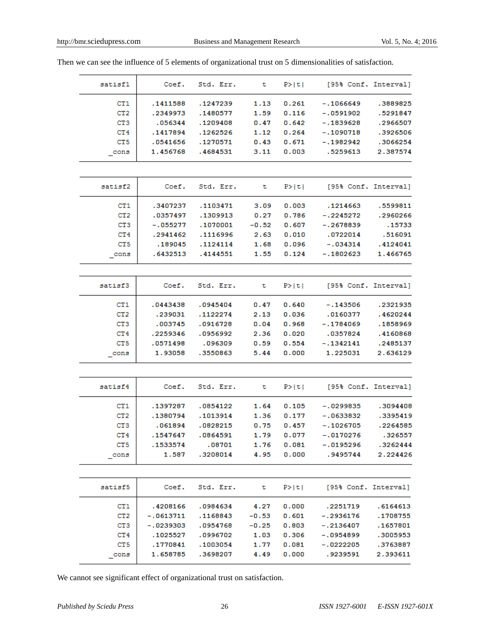| satisf1          | Coef.       | Std. Err. | τ       | P >  t | [95% Conf. Interval] |          |
|------------------|-------------|-----------|---------|--------|----------------------|----------|
| CT1              | .1411588    | .1247239  | 1.13    | 0.261  | -.1066649            | .3889825 |
| CT <sub>2</sub>  | .2349973    | .1480577  | 1.59    | 0.116  | $-.0591902$          | .5291847 |
| CT <sub>3</sub>  | .056344     | .1209408  | 0.47    | 0.642  | $-.1839628$          | .2966507 |
| CT <sub>4</sub>  | .1417894    | .1262526  | 1.12    | 0.264  | $-.1090718$          | .3926506 |
| CT <sub>5</sub>  | .0541656    | .1270571  | 0.43    | 0.671  | -.1982942            | .3066254 |
| cons             | 1.456768    | .4684531  | 3.11    | 0.003  | .5259613             | 2.387574 |
|                  |             |           |         |        |                      |          |
| satisf2          | Coef.       | Std. Err. | t       | P >  t | [95% Conf. Interval] |          |
| CT1              | .3407237    | .1103471  | 3.09    | 0.003  | .1214663             | .5599811 |
| CT <sub>2</sub>  | .0357497    | .1309913  | 0.27    | 0.786  | $-.2245272$          | .2960266 |
| CT <sub>3</sub>  | $-.055277$  | .1070001  | $-0.52$ | 0.607  | $-.2678839$          | .15733   |
| CT <sub>4</sub>  | .2941462    | .1116996  | 2.63    | 0.010  | .0722014             | .516091  |
| CT <sub>5</sub>  | .189045     | .1124114  | 1.68    | 0.096  | $-.034314$           | .4124041 |
| $_{\text{cons}}$ | .6432513    | .4144551  | 1.55    | 0.124  | $-.1802623$          | 1.466765 |
|                  |             |           |         |        |                      |          |
| satisf3          | Coef.       | Std. Err. | τ       | P >  t | [95% Conf. Interval] |          |
| CT <sub>1</sub>  | .0443438    | .0945404  | 0.47    | 0.640  | $-.143506$           | .2321935 |
| CT <sub>2</sub>  | .239031     | .1122274  | 2.13    | 0.036  | .0160377             | .4620244 |
| CT3              | .003745     | .0916728  | 0.04    | 0.968  | -.1784069            | .1858969 |
| CT4              | .2259346    | .0956992  | 2.36    | 0.020  | .0357824             | .4160868 |
| CT <sub>5</sub>  | .0571498    | .096309   | 0.59    | 0.554  | $-.1342141$          | .2485137 |
| cons             | 1.93058     | .3550863  | 5.44    | 0.000  | 1.225031             | 2.636129 |
|                  |             |           |         |        |                      |          |
| satisf4          | Coef.       | Std. Err. | t       | P >  t | [95% Conf. Interval] |          |
| CT <sub>1</sub>  | .1397287    | .0854122  | 1.64    | 0.105  | $-.0299835$          | .3094408 |
| CT2              | .1380794    | .1013914  | 1.36    | 0.177  | $-.0633832$          | .3395419 |
| CT <sub>3</sub>  | .061894     | .0828215  | 0.75    | 0.457  | $-.1026705$          | .2264585 |
| CT4              | .1547647    | .0864591  | 1.79    | 0.077  | $-.0170276$          | .326557  |
| CT5              | . 1533574   | .08701    | 1.76    | 0.081  | -.0195296            | .3262444 |
| cons             | 1.587       | .3208014  | 4.95    | 0.000  | .9495744             | 2.224426 |
|                  |             |           |         |        |                      |          |
| satisf5          | Coef.       | Std. Err. | t       | P >  t | [95% Conf. Interval] |          |
| CT <sub>1</sub>  | .4208166    | .0984634  | 4.27    | 0.000  | .2251719             | .6164613 |
| CT2              | -.0613711   | .1168843  | $-0.53$ | 0.601  | $-.2936176$          | .1708755 |
| CT <sub>3</sub>  | $-.0239303$ | .0954768  | $-0.25$ | 0.803  | $-.2136407$          | .1657801 |
| CT <sub>4</sub>  | .1025527    | .0996702  | 1.03    | 0.306  | $-.0954899$          | .3005953 |
| CT <sub>5</sub>  | .1770841    | .1003054  | 1.77    | 0.081  | $-.0222205$          | .3763887 |
| cons             | 1.658785    | .3698207  | 4.49    | 0.000  | .9239591             | 2.393611 |

| Then we can see the influence of 5 elements of organizational trust on 5 dimensionalities of satisfaction. |
|------------------------------------------------------------------------------------------------------------|
|------------------------------------------------------------------------------------------------------------|

We cannot see significant effect of organizational trust on satisfaction.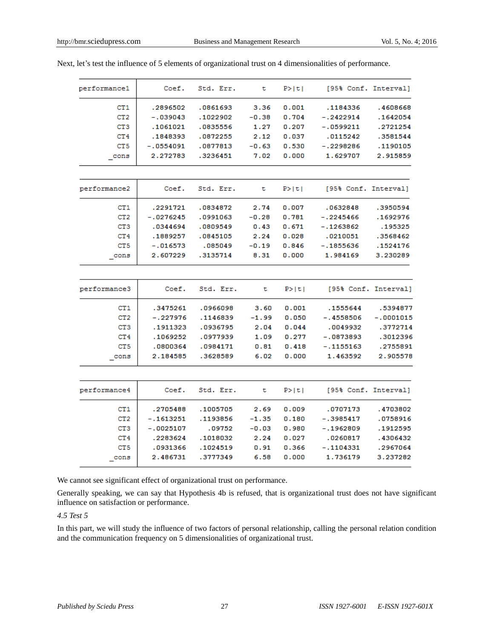| performance1     | Coef.       | Std. Err. | τ       | P >  t | [95% Conf. Interval] |             |
|------------------|-------------|-----------|---------|--------|----------------------|-------------|
| CT <sub>1</sub>  | .2896502    | .0861693  | 3.36    | 0.001  | .1184336             | .4608668    |
| CT2              | $-.039043$  | .1022902  | $-0.38$ | 0.704  | $-.2422914$          | .1642054    |
| CT <sub>3</sub>  | .1061021    | .0835556  | 1.27    | 0.207  | $-.0599211$          | .2721254    |
| CT <sub>4</sub>  | .1848393    | .0872255  | 2.12    | 0.037  | .0115242             | .3581544    |
| CT <sub>5</sub>  | $-.0554091$ | .0877813  | $-0.63$ | 0.530  | $-.2298286$          | .1190105    |
| cons             | 2.272783    | .3236451  | 7.02    | 0.000  | 1.629707             | 2.915859    |
|                  |             |           |         |        |                      |             |
| performance2     | Coef.       | Std. Err. | τ       | P >  t | [95% Conf. Interval] |             |
| CT <sub>1</sub>  | .2291721    | .0834872  | 2.74    | 0.007  | .0632848             | .3950594    |
| CT <sub>2</sub>  | $-.0276245$ | .0991063  | $-0.28$ | 0.781  | $-.2245466$          | .1692976    |
| CT <sub>3</sub>  | .0344694    | .0809549  | 0.43    | 0.671  | $-.1263862$          | .195325     |
| CT <sub>4</sub>  | .1889257    | .0845105  | 2.24    | 0.028  | .0210051             | .3568462    |
| CT <sub>5</sub>  | $-.016573$  | .085049   | $-0.19$ | 0.846  | $-.1855636$          | .1524176    |
| $_{\text{cons}}$ | 2.607229    | .3135714  | 8.31    | 0.000  | 1.984169             | 3.230289    |
| performance3     | Coef.       | Std. Err. | t       | P >  t | [95% Conf. Interval] |             |
| CT1              | .3475261    | .0966098  | 3.60    | 0.001  | .1555644             | .5394877    |
| CT <sub>2</sub>  | $-.227976$  | .1146839  | $-1.99$ | 0.050  | $-.4558506$          | $-.0001015$ |
| CT <sub>3</sub>  | .1911323    | .0936795  | 2.04    | 0.044  | .0049932             | .3772714    |
| CT <sub>4</sub>  | .1069252    | .0977939  | 1.09    | 0.277  | $-.0873893$          | .3012396    |
| CT5              | .0800364    | .0984171  | 0.81    | 0.418  | $-.1155163$          | .2755891    |
| cons             | 2.184585    | .3628589  | 6.02    | 0.000  | 1.463592             | 2.905578    |
|                  |             |           |         |        |                      |             |
| performance4     | Coef.       | Std. Err. | τ       | P >  t | [95% Conf. Interval] |             |
| CT1              | .2705488    | .1005705  | 2.69    | 0.009  | .0707173             | .4703802    |
| CT <sub>2</sub>  | -.1613251   | .1193856  | $-1.35$ | 0.180  | $-.3985417$          | .0758916    |
| CT <sub>3</sub>  | $-.0025107$ | .09752    | $-0.03$ | 0.980  | $-.1962809$          | .1912595    |
| CT <sub>4</sub>  | .2283624    | .1018032  | 2.24    | 0.027  | .0260817             | .4306432    |
| CT <sub>5</sub>  | .0931366    | .1024519  | 0.91    | 0.366  | $-.1104331$          | .2967064    |
| $_{\text{cons}}$ | 2.486731    | .3777349  | 6.58    | 0.000  | 1.736179             | 3.237282    |

We cannot see significant effect of organizational trust on performance.

Generally speaking, we can say that Hypothesis 4b is refused, that is organizational trust does not have significant influence on satisfaction or performance.

## *4.5 Test 5*

In this part, we will study the influence of two factors of personal relationship, calling the personal relation condition and the communication frequency on 5 dimensionalities of organizational trust.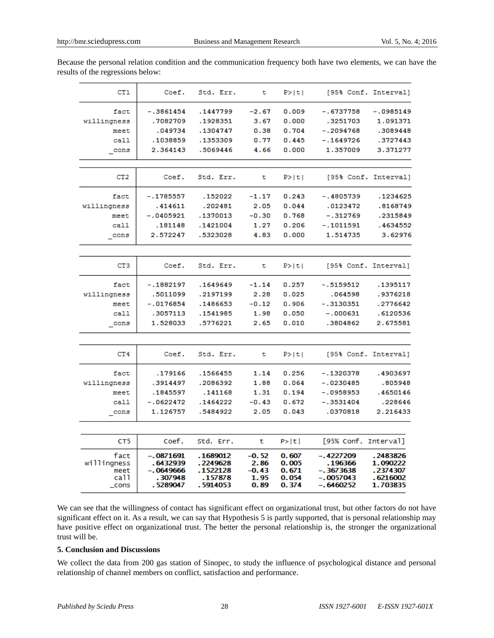Because the personal relation condition and the communication frequency both have two elements, we can have the results of the regressions below:

| CT <sub>1</sub>                                 | Coef.                                                         | Std. Err.                                               | t                                          | P >  t                                    |                                                                 | [95% Conf. Interval]                                       |
|-------------------------------------------------|---------------------------------------------------------------|---------------------------------------------------------|--------------------------------------------|-------------------------------------------|-----------------------------------------------------------------|------------------------------------------------------------|
| fact                                            | $-.3861454$                                                   | .1447799                                                | $-2.67$                                    | 0.009                                     | $-.6737758$                                                     | $-.0985149$                                                |
| willingness                                     | .7082709                                                      | .1928351                                                | 3.67                                       | 0.000                                     | .3251703                                                        | 1.091371                                                   |
| meet                                            | .049734                                                       | .1304747                                                | 0.38                                       | 0.704                                     | $-.2094768$                                                     | .3089448                                                   |
| call                                            | .1038859                                                      | .1353309                                                | 0.77                                       | 0.445                                     | $-.1649726$                                                     | .3727443                                                   |
| cons                                            | 2.364143                                                      | .5069446                                                | 4.66                                       | 0.000                                     | 1.357009                                                        | 3.371277                                                   |
|                                                 |                                                               |                                                         |                                            |                                           |                                                                 |                                                            |
| CT <sub>2</sub>                                 | Coef.                                                         | Std. Err.                                               | t                                          | P >  t                                    |                                                                 | [95% Conf. Interval]                                       |
| fact                                            | $-.1785557$                                                   | .152022                                                 | $-1.17$                                    | 0.243                                     | $-.4805739$                                                     | .1234625                                                   |
| willingness                                     | .414611                                                       | .202481                                                 | 2.05                                       | 0.044                                     | .0123472                                                        | .8168749                                                   |
| meet                                            | $-.0405921$                                                   | .1370013                                                | $-0.30$                                    | 0.768                                     | $-.312769$                                                      | .2315849                                                   |
| call                                            | .181148                                                       | .1421004                                                | 1.27                                       | 0.206                                     | $-.1011591$                                                     | .4634552                                                   |
| cons                                            | 2.572247                                                      | .5323028                                                | 4.83                                       | 0.000                                     | 1.514735                                                        | 3.62976                                                    |
|                                                 |                                                               |                                                         |                                            |                                           |                                                                 |                                                            |
| CT <sub>3</sub>                                 | Coef.                                                         | Std. Err.                                               | t                                          | P >  t                                    |                                                                 | [95% Conf. Interval]                                       |
| fact                                            | $-.1882197$                                                   | .1649649                                                | $-1.14$                                    | 0.257                                     | $-.5159512$                                                     | .1395117                                                   |
| willingness                                     | .5011099                                                      | .2197199                                                | 2.28                                       | 0.025                                     | .064598                                                         | .9376218                                                   |
| meet                                            | $-.0176854$                                                   | .1486653                                                | $-0.12$                                    | 0.906                                     | $-.3130351$                                                     | .2776642                                                   |
| call                                            | .3057113                                                      | .1541985                                                | 1.98                                       | 0.050                                     | $-.000631$                                                      | .6120536                                                   |
| cons                                            | 1.528033                                                      | .5776221                                                | 2.65                                       | 0.010                                     | .3804862                                                        | 2.675581                                                   |
|                                                 |                                                               |                                                         |                                            |                                           |                                                                 |                                                            |
| CT <sub>4</sub>                                 | Coef.                                                         | Std. Err.                                               | t                                          | P >  t                                    |                                                                 | [95% Conf. Interval]                                       |
| fact                                            | .179166                                                       | .1566455                                                | 1.14                                       | 0.256                                     | $-.1320378$                                                     | .4903697                                                   |
| willingness                                     | .3914497                                                      | .2086392                                                | 1.88                                       | 0.064                                     | $-.0230485$                                                     | .805948                                                    |
| meet                                            | .1845597                                                      | .141168                                                 | 1.31                                       | 0.194                                     | $-.0958953$                                                     | .4650146                                                   |
| call                                            | $-.0622472$                                                   | .1464222                                                | $-0.43$                                    | 0.672                                     | $-.3531404$                                                     | .228646                                                    |
| cons                                            | 1.126757                                                      | .5484922                                                | 2.05                                       | 0.043                                     | .0370818                                                        | 2.216433                                                   |
|                                                 |                                                               |                                                         |                                            |                                           |                                                                 |                                                            |
| CT <sub>5</sub>                                 | Coef.                                                         | std. Err.                                               | τ                                          | P >  t                                    | [95% Conf. Interval]                                            |                                                            |
| fact<br>willingness<br>meet<br>ca11<br>$\_cons$ | $-.0871691$<br>.6432939<br>$-.0649666$<br>.307948<br>.5289047 | .1689012<br>.2249628<br>.1522128<br>.157878<br>.5914053 | $-0.52$<br>2.86<br>$-0.43$<br>1.95<br>0.89 | 0.607<br>0.005<br>0.671<br>0.054<br>0.374 | -.4227209<br>. 196366<br>$-.3673638$<br>-.0057043<br>-. 6460252 | . 2483826<br>1.090222<br>.2374307<br>. 6216002<br>1.703835 |

We can see that the willingness of contact has significant effect on organizational trust, but other factors do not have significant effect on it. As a result, we can say that Hypothesis 5 is partly supported, that is personal relationship may have positive effect on organizational trust. The better the personal relationship is, the stronger the organizational trust will be.

## **5. Conclusion and Discussions**

We collect the data from 200 gas station of Sinopec, to study the influence of psychological distance and personal relationship of channel members on conflict, satisfaction and performance.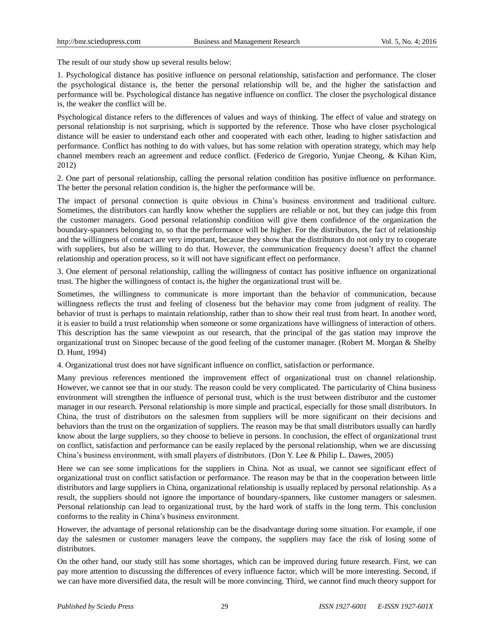The result of our study show up several results below:

1. Psychological distance has positive influence on personal relationship, satisfaction and performance. The closer the psychological distance is, the better the personal relationship will be, and the higher the satisfaction and performance will be. Psychological distance has negative influence on conflict. The closer the psychological distance is, the weaker the conflict will be.

Psychological distance refers to the differences of values and ways of thinking. The effect of value and strategy on personal relationship is not surprising, which is supported by the reference. Those who have closer psychological distance will be easier to understand each other and cooperated with each other, leading to higher satisfaction and performance. Conflict has nothing to do with values, but has some relation with operation strategy, which may help channel members reach an agreement and reduce conflict. (Federico de Gregorio, Yunjae Cheong, & Kihan Kim, 2012)

2. One part of personal relationship, calling the personal relation condition has positive influence on performance. The better the personal relation condition is, the higher the performance will be.

The impact of personal connection is quite obvious in China's business environment and traditional culture. Sometimes, the distributors can hardly know whether the suppliers are reliable or not, but they can judge this from the customer managers. Good personal relationship condition will give them confidence of the organization the boundary-spanners belonging to, so that the performance will be higher. For the distributors, the fact of relationship and the willingness of contact are very important, because they show that the distributors do not only try to cooperate with suppliers, but also be willing to do that. However, the communication frequency doesn't affect the channel relationship and operation process, so it will not have significant effect on performance.

3. One element of personal relationship, calling the willingness of contact has positive influence on organizational trust. The higher the willingness of contact is, the higher the organizational trust will be.

Sometimes, the willingness to communicate is more important than the behavior of communication, because willingness reflects the trust and feeling of closeness but the behavior may come from judgment of reality. The behavior of trust is perhaps to maintain relationship, rather than to show their real trust from heart. In another word, it is easier to build a trust relationship when someone or some organizations have willingness of interaction of others. This description has the same viewpoint as our research, that the principal of the gas station may improve the organizational trust on Sinopec because of the good feeling of the customer manager. (Robert M. Morgan & Shelby D. Hunt, 1994)

4. Organizational trust does not have significant influence on conflict, satisfaction or performance.

Many previous references mentioned the improvement effect of organizational trust on channel relationship. However, we cannot see that in our study. The reason could be very complicated. The particularity of China business environment will strengthen the influence of personal trust, which is the trust between distributor and the customer manager in our research. Personal relationship is more simple and practical, especially for those small distributors. In China, the trust of distributors on the salesmen from suppliers will be more significant on their decisions and behaviors than the trust on the organization of suppliers. The reason may be that small distributors usually can hardly know about the large suppliers, so they choose to believe in persons. In conclusion, the effect of organizational trust on conflict, satisfaction and performance can be easily replaced by the personal relationship, when we are discussing China's business environment, with small players of distributors. (Don Y. Lee & Philip L. Dawes, 2005)

Here we can see some implications for the suppliers in China. Not as usual, we cannot see significant effect of organizational trust on conflict satisfaction or performance. The reason may be that in the cooperation between little distributors and large suppliers in China, organizational relationship is usually replaced by personal relationship. As a result, the suppliers should not ignore the importance of boundary-spanners, like customer managers or salesmen. Personal relationship can lead to organizational trust, by the hard work of staffs in the long term. This conclusion conforms to the reality in China's business environment.

However, the advantage of personal relationship can be the disadvantage during some situation. For example, if one day the salesmen or customer managers leave the company, the suppliers may face the risk of losing some of distributors.

On the other hand, our study still has some shortages, which can be improved during future research. First, we can pay more attention to discussing the differences of every influence factor, which will be more interesting. Second, if we can have more diversified data, the result will be more convincing. Third, we cannot find much theory support for